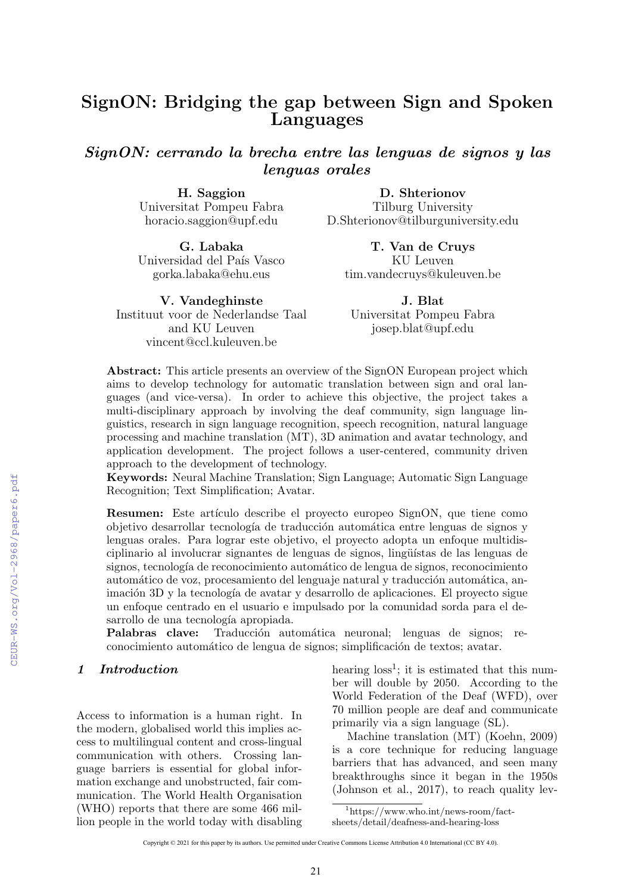# SignON: Bridging the gap between Sign and Spoken Languages

SignON: cerrando la brecha entre las lenguas de signos y las lenguas orales

> H. Saggion Universitat Pompeu Fabra horacio.saggion@upf.edu

G. Labaka Universidad del País Vasco gorka.labaka@ehu.eus

V. Vandeghinste Instituut voor de Nederlandse Taal and KU Leuven vincent@ccl.kuleuven.be

D. Shterionov Tilburg University D.Shterionov@tilburguniversity.edu

T. Van de Cruys KU Leuven tim.vandecruys@kuleuven.be

J. Blat Universitat Pompeu Fabra josep.blat@upf.edu

Abstract: This article presents an overview of the SignON European project which aims to develop technology for automatic translation between sign and oral languages (and vice-versa). In order to achieve this objective, the project takes a multi-disciplinary approach by involving the deaf community, sign language linguistics, research in sign language recognition, speech recognition, natural language processing and machine translation (MT), 3D animation and avatar technology, and application development. The project follows a user-centered, community driven approach to the development of technology.

Keywords: Neural Machine Translation; Sign Language; Automatic Sign Language Recognition; Text Simplification; Avatar.

Resumen: Este artículo describe el proyecto europeo SignON, que tiene como objetivo desarrollar tecnología de traducción automática entre lenguas de signos y lenguas orales. Para lograr este objetivo, el proyecto adopta un enfoque multidisciplinario al involucrar signantes de lenguas de signos, lingüístas de las lenguas de signos, tecnología de reconocimiento automático de lengua de signos, reconocimiento automático de voz, procesamiento del lenguaje natural y traducción automática, animación 3D y la tecnología de avatar y desarrollo de aplicaciones. El proyecto sigue un enfoque centrado en el usuario e impulsado por la comunidad sorda para el desarrollo de una tecnología apropiada.

Palabras clave: Traducción automática neuronal; lenguas de signos; reconocimiento automático de lengua de signos; simplificación de textos; avatar.

#### 1 Introduction

Access to information is a human right. In the modern, globalised world this implies access to multilingual content and cross-lingual communication with others. Crossing language barriers is essential for global information exchange and unobstructed, fair communication. The World Health Organisation (WHO) reports that there are some 466 million people in the world today with disabling

hearing  $loss<sup>1</sup>$ ; it is estimated that this number will double by 2050. According to the World Federation of the Deaf (WFD), over 70 million people are deaf and communicate primarily via a sign language (SL).

Machine translation (MT) (Koehn, 2009) is a core technique for reducing language barriers that has advanced, and seen many breakthroughs since it began in the 1950s (Johnson et al., 2017), to reach quality lev-

<sup>1</sup>https://www.who.int/news-room/fact-

sheets/detail/deafness-and-hearing-loss

Copyright © 2021 for this paper by its authors. Use permitted under Creative Commons License Attribution 4.0 International (CC BY 4.0).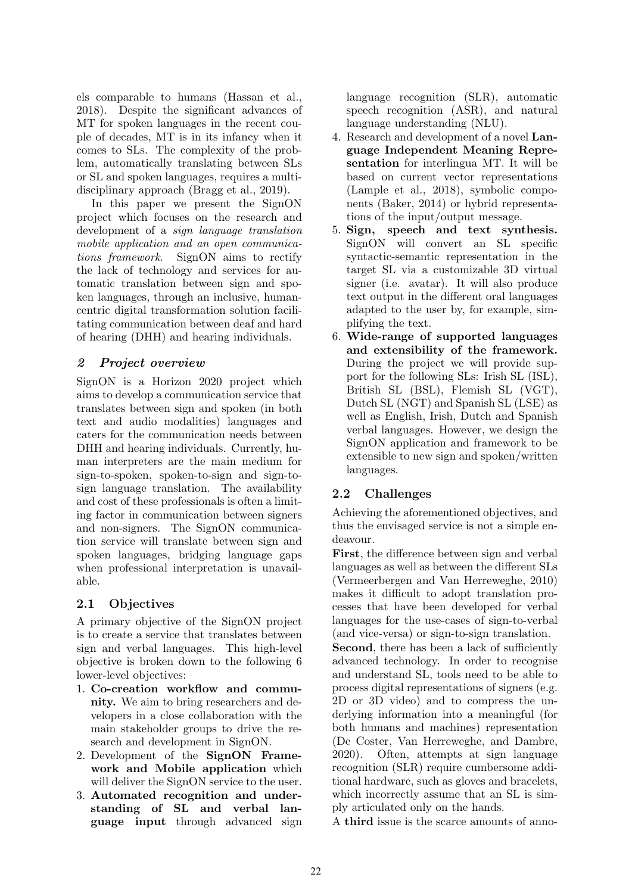els comparable to humans (Hassan et al., 2018). Despite the significant advances of MT for spoken languages in the recent couple of decades, MT is in its infancy when it comes to SLs. The complexity of the problem, automatically translating between SLs or SL and spoken languages, requires a multidisciplinary approach (Bragg et al., 2019).

In this paper we present the SignON project which focuses on the research and development of a sign language translation mobile application and an open communications framework. SignON aims to rectify the lack of technology and services for automatic translation between sign and spoken languages, through an inclusive, humancentric digital transformation solution facilitating communication between deaf and hard of hearing (DHH) and hearing individuals.

## 2 Project overview

SignON is a Horizon 2020 project which aims to develop a communication service that translates between sign and spoken (in both text and audio modalities) languages and caters for the communication needs between DHH and hearing individuals. Currently, human interpreters are the main medium for sign-to-spoken, spoken-to-sign and sign-tosign language translation. The availability and cost of these professionals is often a limiting factor in communication between signers and non-signers. The SignON communication service will translate between sign and spoken languages, bridging language gaps when professional interpretation is unavailable.

## 2.1 Objectives

A primary objective of the SignON project is to create a service that translates between sign and verbal languages. This high-level objective is broken down to the following 6 lower-level objectives:

- 1. Co-creation workflow and community. We aim to bring researchers and developers in a close collaboration with the main stakeholder groups to drive the research and development in SignON.
- 2. Development of the SignON Framework and Mobile application which will deliver the SignON service to the user.
- 3. Automated recognition and understanding of SL and verbal language input through advanced sign

language recognition (SLR), automatic speech recognition (ASR), and natural language understanding (NLU).

- 4. Research and development of a novel Language Independent Meaning Representation for interlingua MT. It will be based on current vector representations (Lample et al., 2018), symbolic components (Baker, 2014) or hybrid representations of the input/output message.
- 5. Sign, speech and text synthesis. SignON will convert an SL specific syntactic-semantic representation in the target SL via a customizable 3D virtual signer (i.e. avatar). It will also produce text output in the different oral languages adapted to the user by, for example, simplifying the text.
- 6. Wide-range of supported languages and extensibility of the framework. During the project we will provide support for the following SLs: Irish SL (ISL), British SL (BSL), Flemish SL (VGT), Dutch SL (NGT) and Spanish SL (LSE) as well as English, Irish, Dutch and Spanish verbal languages. However, we design the SignON application and framework to be extensible to new sign and spoken/written languages.

# 2.2 Challenges

Achieving the aforementioned objectives, and thus the envisaged service is not a simple endeavour.

First, the difference between sign and verbal languages as well as between the different SLs (Vermeerbergen and Van Herreweghe, 2010) makes it difficult to adopt translation processes that have been developed for verbal languages for the use-cases of sign-to-verbal (and vice-versa) or sign-to-sign translation.

Second, there has been a lack of sufficiently advanced technology. In order to recognise and understand SL, tools need to be able to process digital representations of signers (e.g. 2D or 3D video) and to compress the underlying information into a meaningful (for both humans and machines) representation (De Coster, Van Herreweghe, and Dambre, 2020). Often, attempts at sign language recognition (SLR) require cumbersome additional hardware, such as gloves and bracelets, which incorrectly assume that an SL is simply articulated only on the hands.

A third issue is the scarce amounts of anno-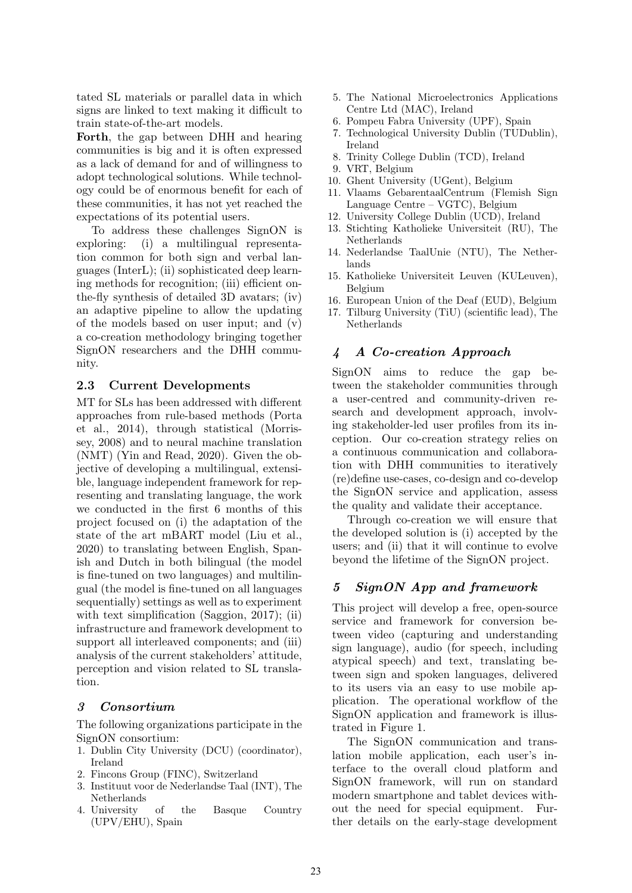tated SL materials or parallel data in which signs are linked to text making it difficult to train state-of-the-art models.

Forth, the gap between DHH and hearing communities is big and it is often expressed as a lack of demand for and of willingness to adopt technological solutions. While technology could be of enormous benefit for each of these communities, it has not yet reached the expectations of its potential users.

To address these challenges SignON is exploring: (i) a multilingual representation common for both sign and verbal languages (InterL); (ii) sophisticated deep learning methods for recognition; (iii) efficient onthe-fly synthesis of detailed 3D avatars; (iv) an adaptive pipeline to allow the updating of the models based on user input; and (v) a co-creation methodology bringing together SignON researchers and the DHH community.

#### 2.3 Current Developments

MT for SLs has been addressed with different approaches from rule-based methods (Porta et al., 2014), through statistical (Morrissey, 2008) and to neural machine translation (NMT) (Yin and Read, 2020). Given the objective of developing a multilingual, extensible, language independent framework for representing and translating language, the work we conducted in the first 6 months of this project focused on (i) the adaptation of the state of the art mBART model (Liu et al., 2020) to translating between English, Spanish and Dutch in both bilingual (the model is fine-tuned on two languages) and multilingual (the model is fine-tuned on all languages sequentially) settings as well as to experiment with text simplification (Saggion, 2017); (ii) infrastructure and framework development to support all interleaved components; and (iii) analysis of the current stakeholders' attitude, perception and vision related to SL translation.

#### 3 Consortium

The following organizations participate in the SignON consortium:

- 1. Dublin City University (DCU) (coordinator), Ireland
- 2. Fincons Group (FINC), Switzerland
- 3. Instituut voor de Nederlandse Taal (INT), The Netherlands
- 4. University of the Basque Country (UPV/EHU), Spain
- 5. The National Microelectronics Applications Centre Ltd (MAC), Ireland
- 6. Pompeu Fabra University (UPF), Spain
- 7. Technological University Dublin (TUDublin), Ireland
- 8. Trinity College Dublin (TCD), Ireland
- 9. VRT, Belgium
- 10. Ghent University (UGent), Belgium
- 11. Vlaams GebarentaalCentrum (Flemish Sign Language Centre – VGTC), Belgium
- 12. University College Dublin (UCD), Ireland
- 13. Stichting Katholieke Universiteit (RU), The Netherlands
- 14. Nederlandse TaalUnie (NTU), The Netherlands
- 15. Katholieke Universiteit Leuven (KULeuven), Belgium
- 16. European Union of the Deaf (EUD), Belgium
- 17. Tilburg University (TiU) (scientific lead), The Netherlands

#### 4 A Co-creation Approach

SignON aims to reduce the gap between the stakeholder communities through a user-centred and community-driven research and development approach, involving stakeholder-led user profiles from its inception. Our co-creation strategy relies on a continuous communication and collaboration with DHH communities to iteratively (re)define use-cases, co-design and co-develop the SignON service and application, assess the quality and validate their acceptance.

Through co-creation we will ensure that the developed solution is (i) accepted by the users; and (ii) that it will continue to evolve beyond the lifetime of the SignON project.

## 5 SignON App and framework

This project will develop a free, open-source service and framework for conversion between video (capturing and understanding sign language), audio (for speech, including atypical speech) and text, translating between sign and spoken languages, delivered to its users via an easy to use mobile application. The operational workflow of the SignON application and framework is illustrated in Figure 1.

The SignON communication and translation mobile application, each user's interface to the overall cloud platform and SignON framework, will run on standard modern smartphone and tablet devices without the need for special equipment. Further details on the early-stage development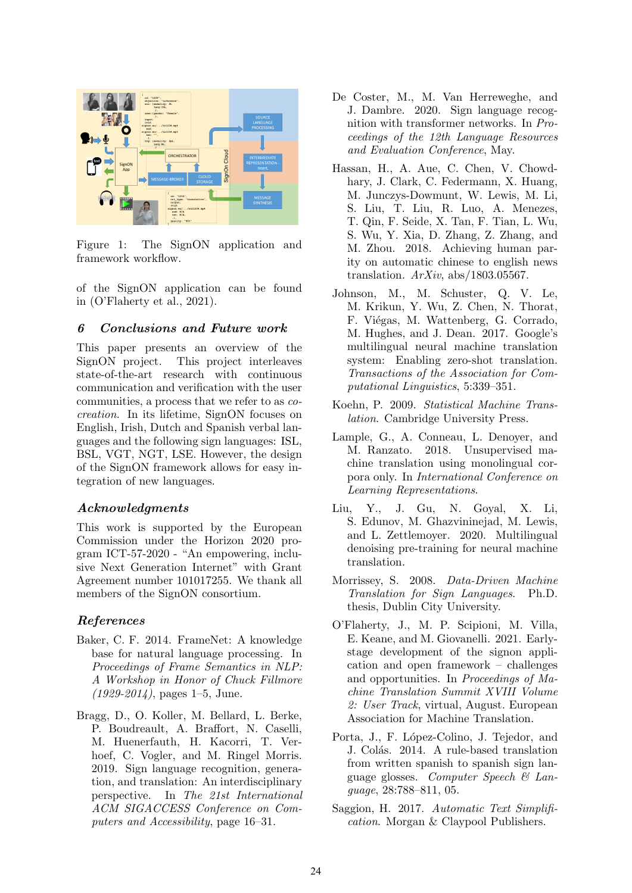

Figure 1: The SignON application and framework workflow.

of the SignON application can be found in (O'Flaherty et al., 2021).

#### 6 Conclusions and Future work

This paper presents an overview of the SignON project. This project interleaves state-of-the-art research with continuous communication and verification with the user communities, a process that we refer to as cocreation. In its lifetime, SignON focuses on English, Irish, Dutch and Spanish verbal languages and the following sign languages: ISL, BSL, VGT, NGT, LSE. However, the design of the SignON framework allows for easy integration of new languages.

#### Acknowledgments

This work is supported by the European Commission under the Horizon 2020 program ICT-57-2020 - "An empowering, inclusive Next Generation Internet" with Grant Agreement number 101017255. We thank all members of the SignON consortium.

#### References

- Baker, C. F. 2014. FrameNet: A knowledge base for natural language processing. In Proceedings of Frame Semantics in NLP: A Workshop in Honor of Chuck Fillmore  $(1929 - 2014)$ , pages 1–5, June.
- Bragg, D., O. Koller, M. Bellard, L. Berke, P. Boudreault, A. Braffort, N. Caselli, M. Huenerfauth, H. Kacorri, T. Verhoef, C. Vogler, and M. Ringel Morris. 2019. Sign language recognition, generation, and translation: An interdisciplinary perspective. In The 21st International ACM SIGACCESS Conference on Computers and Accessibility, page 16–31.
- De Coster, M., M. Van Herreweghe, and J. Dambre. 2020. Sign language recognition with transformer networks. In Proceedings of the 12th Language Resources and Evaluation Conference, May.
- Hassan, H., A. Aue, C. Chen, V. Chowdhary, J. Clark, C. Federmann, X. Huang, M. Junczys-Dowmunt, W. Lewis, M. Li, S. Liu, T. Liu, R. Luo, A. Menezes, T. Qin, F. Seide, X. Tan, F. Tian, L. Wu, S. Wu, Y. Xia, D. Zhang, Z. Zhang, and M. Zhou. 2018. Achieving human parity on automatic chinese to english news translation.  $ArXiv$ , abs/1803.05567.
- Johnson, M., M. Schuster, Q. V. Le, M. Krikun, Y. Wu, Z. Chen, N. Thorat, F. Viégas, M. Wattenberg, G. Corrado, M. Hughes, and J. Dean. 2017. Google's multilingual neural machine translation system: Enabling zero-shot translation. Transactions of the Association for Computational Linguistics, 5:339–351.
- Koehn, P. 2009. Statistical Machine Translation. Cambridge University Press.
- Lample, G., A. Conneau, L. Denoyer, and M. Ranzato. 2018. Unsupervised machine translation using monolingual corpora only. In International Conference on Learning Representations.
- Liu, Y., J. Gu, N. Goyal, X. Li, S. Edunov, M. Ghazvininejad, M. Lewis, and L. Zettlemoyer. 2020. Multilingual denoising pre-training for neural machine translation.
- Morrissey, S. 2008. Data-Driven Machine Translation for Sign Languages. Ph.D. thesis, Dublin City University.
- O'Flaherty, J., M. P. Scipioni, M. Villa, E. Keane, and M. Giovanelli. 2021. Earlystage development of the signon application and open framework – challenges and opportunities. In Proceedings of Machine Translation Summit XVIII Volume 2: User Track, virtual, August. European Association for Machine Translation.
- Porta, J., F. López-Colino, J. Tejedor, and J. Colás. 2014. A rule-based translation from written spanish to spanish sign language glosses. Computer Speech & Language, 28:788–811, 05.
- Saggion, H. 2017. Automatic Text Simplification. Morgan & Claypool Publishers.